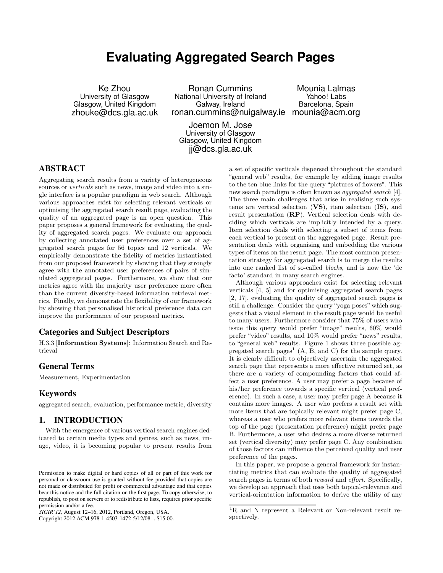# **Evaluating Aggregated Search Pages**

Ke Zhou University of Glasgow Glasgow, United Kingdom zhouke@dcs.gla.ac.uk

Ronan Cummins National University of Ireland Galway, Ireland ronan.cummins@nuigalway.ie mounia@acm.org

Mounia Lalmas Yahoo! Labs Barcelona, Spain

Joemon M. Jose University of Glasgow Glasgow, United Kingdom jj@dcs.gla.ac.uk

# ABSTRACT

Aggregating search results from a variety of heterogeneous sources or *verticals* such as news, image and video into a single interface is a popular paradigm in web search. Although various approaches exist for selecting relevant verticals or optimising the aggregated search result page, evaluating the quality of an aggregated page is an open question. This paper proposes a general framework for evaluating the quality of aggregated search pages. We evaluate our approach by collecting annotated user preferences over a set of aggregated search pages for 56 topics and 12 verticals. We empirically demonstrate the fidelity of metrics instantiated from our proposed framework by showing that they strongly agree with the annotated user preferences of pairs of simulated aggregated pages. Furthermore, we show that our metrics agree with the majority user preference more often than the current diversity-based information retrieval metrics. Finally, we demonstrate the flexibility of our framework by showing that personalised historical preference data can improve the performance of our proposed metrics.

# Categories and Subject Descriptors

H.3.3 [Information Systems]: Information Search and Retrieval

### General Terms

Measurement, Experimentation

# Keywords

aggregated search, evaluation, performance metric, diversity

# 1. INTRODUCTION

With the emergence of various vertical search engines dedicated to certain media types and genres, such as news, image, video, it is becoming popular to present results from

Copyright 2012 ACM 978-1-4503-1472-5/12/08 ...\$15.00.

a set of specific verticals dispersed throughout the standard "general web" results, for example by adding image results to the ten blue links for the query "pictures of flowers". This new search paradigm is often known as aggregated search [4]. The three main challenges that arise in realising such systems are vertical selection (VS), item selection (IS), and result presentation (RP). Vertical selection deals with deciding which verticals are implicitly intended by a query. Item selection deals with selecting a subset of items from each vertical to present on the aggregated page. Result presentation deals with organising and embedding the various types of items on the result page. The most common presentation strategy for aggregated search is to merge the results into one ranked list of so-called blocks, and is now the 'de facto' standard in many search engines.

Although various approaches exist for selecting relevant verticals [4, 5] and for optimising aggregated search pages [2, 17], evaluating the quality of aggregated search pages is still a challenge. Consider the query "yoga poses" which suggests that a visual element in the result page would be useful to many users. Furthermore consider that 75% of users who issue this query would prefer "image" results, 60% would prefer "video" results, and 10% would prefer "news" results, to "general web" results. Figure 1 shows three possible aggregated search  $\text{pages}^1$  (A, B, and C) for the sample query. It is clearly difficult to objectively ascertain the aggregated search page that represents a more effective returned set, as there are a variety of compounding factors that could affect a user preference. A user may prefer a page because of his/her preference towards a specific vertical (vertical preference). In such a case, a user may prefer page A because it contains more images. A user who prefers a result set with more items that are topically relevant might prefer page C, whereas a user who prefers more relevant items towards the top of the page (presentation preference) might prefer page B. Furthermore, a user who desires a more diverse returned set (vertical diversity) may prefer page C. Any combination of those factors can influence the perceived quality and user preference of the pages.

In this paper, we propose a general framework for instantiating metrics that can evaluate the quality of aggregated search pages in terms of both reward and effort. Specifically, we develop an approach that uses both topical-relevance and vertical-orientation information to derive the utility of any

Permission to make digital or hard copies of all or part of this work for personal or classroom use is granted without fee provided that copies are not made or distributed for profit or commercial advantage and that copies bear this notice and the full citation on the first page. To copy otherwise, to republish, to post on servers or to redistribute to lists, requires prior specific permission and/or a fee.

*SIGIR'12,* August 12–16, 2012, Portland, Oregon, USA.

<sup>&</sup>lt;sup>1</sup>R and N represent a Relevant or Non-relevant result respectively.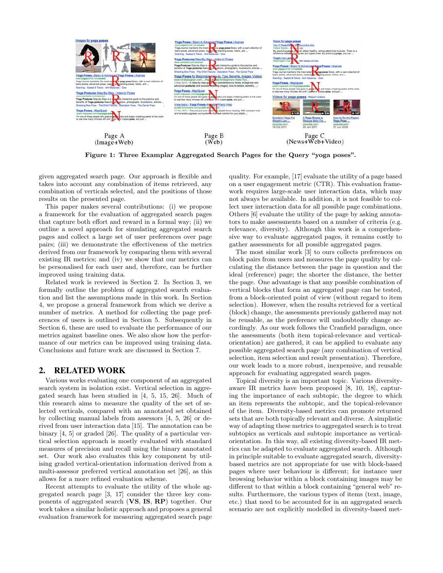

Figure 1: Three Examplar Aggregated Search Pages for the Query "yoga poses".

given aggregated search page. Our approach is flexible and takes into account any combination of items retrieved, any combination of verticals selected, and the positions of those results on the presented page.

This paper makes several contributions: (i) we propose a framework for the evaluation of aggregated search pages that capture both effort and reward in a formal way; (ii) we outline a novel approach for simulating aggregated search pages and collect a large set of user preferences over page pairs; (iii) we demonstrate the effectiveness of the metrics derived from our framework by comparing them with several existing IR metrics; and (iv) we show that our metrics can be personalised for each user and, therefore, can be further improved using training data.

Related work is reviewed in Section 2. In Section 3, we formally outline the problem of aggregated search evaluation and list the assumptions made in this work. In Section 4, we propose a general framework from which we derive a number of metrics. A method for collecting the page preferences of users is outlined in Section 5. Subsequently in Section 6, these are used to evaluate the performance of our metrics against baseline ones. We also show how the performance of our metrics can be improved using training data. Conclusions and future work are discussed in Section 7.

# 2. RELATED WORK

Various works evaluating one component of an aggregated search system in isolation exist. Vertical selection in aggregated search has been studied in [4, 5, 15, 26]. Much of this research aims to measure the quality of the set of selected verticals, compared with an annotated set obtained by collecting manual labels from assessors [4, 5, 26] or derived from user interaction data [15]. The annotation can be binary [4, 5] or graded [26]. The quality of a particular vertical selection approach is mostly evaluated with standard measures of precision and recall using the binary annotated set. Our work also evaluates this key component by utilising graded vertical-orientation information derived from a multi-assessor preferred vertical annotation set [26], as this allows for a more refined evaluation scheme.

Recent attempts to evaluate the utility of the whole aggregated search page [3, 17] consider the three key components of aggregated search (VS, IS, RP) together. Our work takes a similar holistic approach and proposes a general evaluation framework for measuring aggregated search page quality. For example, [17] evaluate the utility of a page based on a user engagement metric (CTR). This evaluation framework requires large-scale user interaction data, which may not always be available. In addition, it is not feasible to collect user interaction data for all possible page combinations. Others [6] evaluate the utility of the page by asking annotators to make assessments based on a number of criteria (e.g. relevance, diversity). Although this work is a comprehensive way to evaluate aggregated pages, it remains costly to gather assessments for all possible aggregated pages.

The most similar work [3] to ours collects preferences on block pairs from users and measures the page quality by calculating the distance between the page in question and the ideal (reference) page; the shorter the distance, the better the page. One advantage is that any possible combination of vertical blocks that form an aggregated page can be tested, from a block-oriented point of view (without regard to item selection). However, when the results retrieved for a vertical (block) change, the assessments previously gathered may not be reusable, as the preference will undoubtedly change accordingly. As our work follows the Cranfield paradigm, once the assessments (both item topical-relevance and verticalorientation) are gathered, it can be applied to evaluate any possible aggregated search page (any combination of vertical selection, item selection and result presentation). Therefore, our work leads to a more robust, inexpensive, and reusable approach for evaluating aggregated search pages.

Topical diversity is an important topic. Various diversityaware IR metrics have been proposed [8, 10, 18], capturing the importance of each subtopic, the degree to which an item represents the subtopic, and the topical-relevance of the item. Diversity-based metrics can promote returned sets that are both topically relevant and diverse. A simplistic way of adapting these metrics to aggregated search is to treat subtopics as verticals and subtopic importance as verticalorientation. In this way, all existing diversity-based IR metrics can be adapted to evaluate aggregated search. Although in principle suitable to evaluate aggregated search, diversitybased metrics are not appropriate for use with block-based pages where user behaviour is different; for instance user browsing behavior within a block containing images may be different to that within a block containing "general web" results. Furthermore, the various types of items (text, image, etc.) that need to be accounted for in an aggregated search scenario are not explicitly modelled in diversity-based met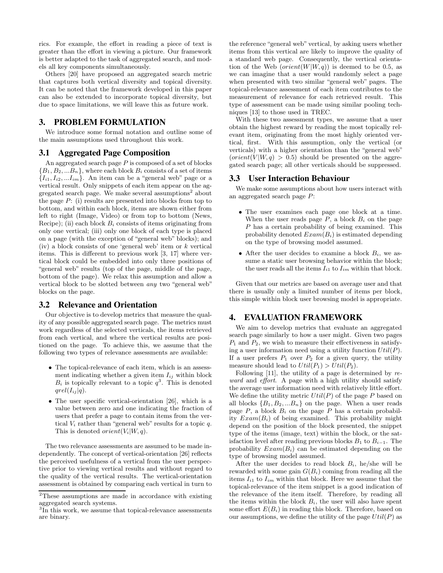rics. For example, the effort in reading a piece of text is greater than the effort in viewing a picture. Our framework is better adapted to the task of aggregated search, and models all key components simultaneously.

Others [20] have proposed an aggregated search metric that captures both vertical diversity and topical diversity. It can be noted that the framework developed in this paper can also be extended to incorporate topical diversity, but due to space limitations, we will leave this as future work.

### 3. PROBLEM FORMULATION

We introduce some formal notation and outline some of the main assumptions used throughout this work.

### 3.1 Aggregated Page Composition

An aggregated search page  $P$  is composed of a set of blocks  ${B_1, B_2, ... B_n}$ , where each block  $B_i$  consists of a set of items  ${I_{i1}, I_{i2}, ... I_{im}}.$  An item can be a "general web" page or a vertical result. Only snippets of each item appear on the aggregated search page. We make several assumptions<sup>2</sup> about the page  $P:$  (i) results are presented into blocks from top to bottom, and within each block, items are shown either from left to right (Image, Video) or from top to bottom (News, Recipe); (ii) each block  $B_i$  consists of items originating from only one vertical; (iii) only one block of each type is placed on a page (with the exception of "general web" blocks); and (iv) a block consists of one 'general web' item or  $k$  vertical items. This is different to previous work [3, 17] where vertical block could be embedded into only three positions of "general web" results (top of the page, middle of the page, bottom of the page). We relax this assumption and allow a vertical block to be slotted between any two "general web" blocks on the page.

### 3.2 Relevance and Orientation

Our objective is to develop metrics that measure the quality of any possible aggregated search page. The metrics must work regardless of the selected verticals, the items retrieved from each vertical, and where the vertical results are positioned on the page. To achieve this, we assume that the following two types of relevance assessments are available:

- The topical-relevance of each item, which is an assessment indicating whether a given item  $I_{ij}$  within block  $B_i$  is topically relevant to a topic  $q^3$ . This is denoted  $qrel(I_{ij} | q)$ .
- The user specific vertical-orientation [26], which is a value between zero and one indicating the fraction of users that prefer a page to contain items from the vertical  $V_i$  rather than "general web" results for a topic q. This is denoted *orient*( $V_i|W, q$ ).

The two relevance assessments are assumed to be made independently. The concept of vertical-orientation [26] reflects the perceived usefulness of a vertical from the user perspective prior to viewing vertical results and without regard to the quality of the vertical results. The vertical-orientation assessment is obtained by comparing each vertical in turn to

the reference "general web" vertical, by asking users whether items from this vertical are likely to improve the quality of a standard web page. Consequently, the vertical orientation of the Web  $(orient(W|W, q))$  is deemed to be 0.5, as we can imagine that a user would randomly select a page when presented with two similar "general web" pages. The topical-relevance assessment of each item contributes to the measurement of relevance for each retrieved result. This type of assessment can be made using similar pooling techniques [13] to those used in TREC.

With these two assessment types, we assume that a user obtain the highest reward by reading the most topically relevant item, originating from the most highly oriented vertical, first. With this assumption, only the vertical (or verticals) with a higher orientation than the "general web"  $(crient(V|W, q) > 0.5)$  should be presented on the aggregated search page; all other verticals should be suppressed.

### 3.3 User Interaction Behaviour

We make some assumptions about how users interact with an aggregated search page P:

- The user examines each page one block at a time. When the user reads page  $P$ , a block  $B_i$  on the page P has a certain probability of being examined. This probability denoted  $Exam(B_i)$  is estimated depending on the type of browsing model assumed.
- After the user decides to examine a block  $B_i$ , we assume a static user browsing behavior within the block; the user reads all the items  $I_{i1}$  to  $I_{im}$  within that block.

Given that our metrics are based on average user and that there is usually only a limited number of items per block, this simple within block user browsing model is appropriate.

# 4. EVALUATION FRAMEWORK

We aim to develop metrics that evaluate an aggregated search page similarly to how a user might. Given two pages  $P_1$  and  $P_2$ , we wish to measure their effectiveness in satisfying a user information need using a utility function  $Util(P)$ . If a user prefers  $P_1$  over  $P_2$  for a given query, the utility measure should lead to  $Util(P_1) > Util(P_2)$ .

Following  $[11]$ , the utility of a page is determined by reward and effort. A page with a high utility should satisfy the average user information need with relatively little effort. We define the utility metric  $Util(P)$  of the page P based on all blocks  ${B_1, B_2,...B_n}$  on the page. When a user reads page  $P$ , a block  $B_i$  on the page  $P$  has a certain probability  $Exam(B_i)$  of being examined. This probability might depend on the position of the block presented, the snippet type of the items (image, text) within the block, or the satisfaction level after reading previous blocks  $B_1$  to  $B_{i-1}$ . The probability  $Exam(B_i)$  can be estimated depending on the type of browsing model assumed.

After the user decides to read block  $B_i$ , he/she will be rewarded with some gain  $G(B_i)$  coming from reading all the items  $I_{i1}$  to  $I_{im}$  within that block. Here we assume that the topical-relevance of the item snippet is a good indication of the relevance of the item itself. Therefore, by reading all the items within the block  $B_i$ , the user will also have spent some effort  $E(B_i)$  in reading this block. Therefore, based on our assumptions, we define the utility of the page  $Util(P)$  as

<sup>2</sup>These assumptions are made in accordance with existing aggregated search systems.

<sup>&</sup>lt;sup>3</sup>In this work, we assume that topical-relevance assessments are binary.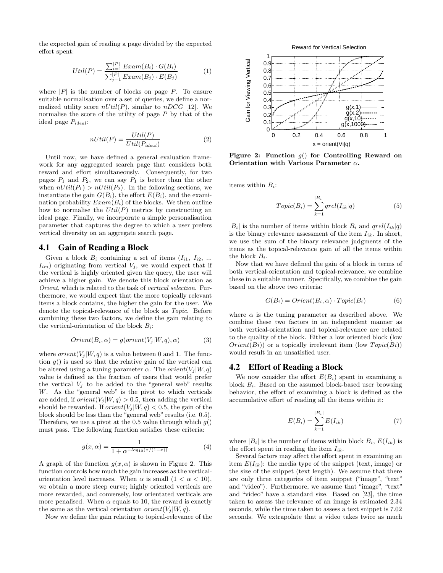the expected gain of reading a page divided by the expected effort spent:

$$
Util(P) = \frac{\sum_{i=1}^{|P|} Exam(B_i) \cdot G(B_i)}{\sum_{j=1}^{|P|} Exam(B_j) \cdot E(B_j)}
$$
(1)

where  $|P|$  is the number of blocks on page P. To ensure suitable normalisation over a set of queries, we define a normalized utility score  $nUtil(P)$ , similar to  $nDCG$  [12]. We normalise the score of the utility of page  $P$  by that of the ideal page  $P_{ideal}$ :

$$
nUtil(P) = \frac{Util(P)}{Util(P_{ideal})}
$$
 (2)

Until now, we have defined a general evaluation framework for any aggregated search page that considers both reward and effort simultaneously. Consequently, for two pages  $P_1$  and  $P_2$ , we can say  $P_1$  is better than the other when  $nUtil(P_1) > nUtil(P_2)$ . In the following sections, we instantiate the gain  $G(B_i)$ , the effort  $E(B_i)$ , and the examination probability  $Exam(B_i)$  of the blocks. We then outline how to normalise the  $Util(P)$  metrics by constructing an ideal page. Finally, we incorporate a simple personalisation parameter that captures the degree to which a user prefers vertical diversity on an aggregate search page.

### 4.1 Gain of Reading a Block

Given a block  $B_i$  containing a set of items  $(I_{i1}, I_{i2}, ...$  $I_{im}$ ) originating from vertical  $V_j$ , we would expect that if the vertical is highly oriented given the query, the user will achieve a higher gain. We denote this block orientation as Orient, which is related to the task of vertical selection. Furthermore, we would expect that the more topically relevant items a block contains, the higher the gain for the user. We denote the topical-relevance of the block as Topic. Before combining these two factors, we define the gain relating to the vertical-orientation of the block  $B_i$ :

$$
Orient(B_i, \alpha) = g(orient(V_j|W, q), \alpha)
$$
\n(3)

where  $orient(V_j|W, q)$  is a value between 0 and 1. The function  $g()$  is used so that the relative gain of the vertical can be altered using a tuning parameter  $\alpha$ . The  $orient(V_i|W, q)$ value is defined as the fraction of users that would prefer the vertical  $V_j$  to be added to the "general web" results W. As the "general web" is the pivot to which verticals are added, if  $orient(V_i|W, q) > 0.5$ , then adding the vertical should be rewarded. If  $orient(V_i | W, q) < 0.5$ , the gain of the block should be less than the "general web" results (i.e. 0.5). Therefore, we use a pivot at the 0.5 value through which  $q()$ must pass. The following function satisfies these criteria:

$$
g(x,\alpha) = \frac{1}{1 + \alpha^{-\log_{10}(x/(1-x))}}
$$
(4)

A graph of the function  $g(x, \alpha)$  is shown in Figure 2. This function controls how much the gain increases as the verticalorientation level increases. When  $\alpha$  is small  $(1 < \alpha < 10)$ , we obtain a more steep curve; highly oriented verticals are more rewarded, and conversely, low orientated verticals are more penalised. When  $\alpha$  equals to 10, the reward is exactly the same as the vertical orientation *orient*( $V_i | W, q$ ).

Now we define the gain relating to topical-relevance of the



Figure 2: Function  $g()$  for Controlling Reward on Orientation with Various Parameter  $\alpha$ .

items within  $B_i$ :

$$
Topic(B_i) = \sum_{k=1}^{|B_i|} qrel(I_{ik}|q)
$$
\n<sup>(5)</sup>

 $|B_i|$  is the number of items within block  $B_i$  and  $qrel(I_{ik}|q)$ is the binary relevance assessment of the item  $I_{ik}$ . In short, we use the sum of the binary relevance judgments of the items as the topical-relevance gain of all the items within the block  $B_i$ .

Now that we have defined the gain of a block in terms of both vertical-orientation and topical-relevance, we combine these in a suitable manner. Specifically, we combine the gain based on the above two criteria:

$$
G(B_i) = Orient(B_i, \alpha) \cdot Topic(B_i)
$$
\n(6)

where  $\alpha$  is the tuning parameter as described above. We combine these two factors in an independent manner as both vertical-orientation and topical-relevance are related to the quality of the block. Either a low oriented block (low  $Orient(Bi))$  or a topically irrelevant item (low  $Topic(Bi)$ ) would result in an unsatisfied user.

#### 4.2 Effort of Reading a Block

We now consider the effort  $E(B_i)$  spent in examining a block  $B_i$ . Based on the assumed block-based user browsing behavior, the effort of examining a block is defined as the accumulative effort of reading all the items within it:

$$
E(B_i) = \sum_{k=1}^{|B_i|} E(I_{ik})
$$
\n(7)

where  $|B_i|$  is the number of items within block  $B_i$ ,  $E(I_{ik})$  is the effort spent in reading the item  $I_{ik}$ .

Several factors may affect the effort spent in examining an item  $E(I_{ik})$ : the media type of the snippet (text, image) or the size of the snippet (text length). We assume that there are only three categories of item snippet ("image", "text" and "video"). Furthermore, we assume that "image", "text" and "video" have a standard size. Based on [23], the time taken to assess the relevance of an image is estimated 2.34 seconds, while the time taken to assess a text snippet is 7.02 seconds. We extrapolate that a video takes twice as much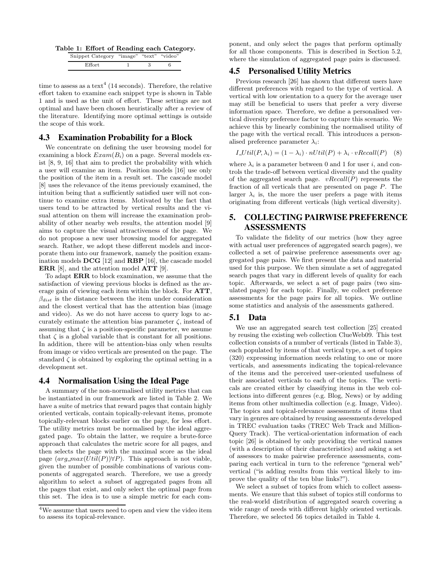Table 1: Effort of Reading each Category.

| Snippet Category "image" "text" "video" |  |  |
|-----------------------------------------|--|--|
| $\rm Effort$                            |  |  |

time to assess as a text<sup>4</sup> (14 seconds). Therefore, the relative effort taken to examine each snippet type is shown in Table 1 and is used as the unit of effort. These settings are not optimal and have been chosen heuristically after a review of the literature. Identifying more optimal settings is outside the scope of this work.

### 4.3 Examination Probability for a Block

We concentrate on defining the user browsing model for examining a block  $Exam(B_i)$  on a page. Several models exist [8, 9, 16] that aim to predict the probability with which a user will examine an item. Position models [16] use only the position of the item in a result set. The cascade model [8] uses the relevance of the items previously examined, the intuition being that a sufficiently satisfied user will not continue to examine extra items. Motivated by the fact that users tend to be attracted by vertical results and the visual attention on them will increase the examination probability of other nearby web results, the attention model [9] aims to capture the visual attractiveness of the page. We do not propose a new user browsing model for aggregated search. Rather, we adopt these different models and incorporate them into our framework, namely the position examination models DCG [12] and RBP [16], the cascade model ERR [8], and the attention model ATT [9].

To adapt ERR to block examination, we assume that the satisfaction of viewing previous blocks is defined as the average gain of viewing each item within the block. For ATT,  $\beta_{dist}$  is the distance between the item under consideration and the closest vertical that has the attention bias (image and video). As we do not have access to query logs to accurately estimate the attention bias parameter  $\zeta$ , instead of assuming that  $\zeta$  is a position-specific parameter, we assume that  $\zeta$  is a global variable that is constant for all positions. In addition, there will be attention-bias only when results from image or video verticals are presented on the page. The standard  $\zeta$  is obtained by exploring the optimal setting in a development set.

### 4.4 Normalisation Using the Ideal Page

A summary of the non-normalised utility metrics that can be instantiated in our framework are listed in Table 2. We have a suite of metrics that reward pages that contain highly oriented verticals, contain topically-relevant items, promote topically-relevant blocks earlier on the page, for less effort. The utility metrics must be normalised by the ideal aggregated page. To obtain the latter, we require a brute-force approach that calculates the metric score for all pages, and then selects the page with the maximal score as the ideal page  $(arg\_max(Util(P))\forall P)$ . This approach is not viable, given the number of possible combinations of various components of aggregated search. Therefore, we use a greedy algorithm to select a subset of aggregated pages from all the pages that exist, and only select the optimal page from this set. The idea is to use a simple metric for each component, and only select the pages that perform optimally for all those components. This is described in Section 5.2, where the simulation of aggregated page pairs is discussed.

# 4.5 Personalised Utility Metrics

Previous research [26] has shown that different users have different preferences with regard to the type of vertical. A vertical with low orientation to a query for the average user may still be beneficial to users that prefer a very diverse information space. Therefore, we define a personalised vertical diversity preference factor to capture this scenario. We achieve this by linearly combining the normalised utility of the page with the vertical recall. This introduces a personalised preference parameter  $\lambda_i$ :

$$
I_Util(P, \lambda_i) = (1 - \lambda_i) \cdot nUtil(P) + \lambda_i \cdot vRecall(P) \quad (8)
$$

where  $\lambda_i$  is a parameter between 0 and 1 for user i, and controls the trade-off between vertical diversity and the quality of the aggregated search page.  $vRecall(P)$  represents the fraction of all verticals that are presented on page P. The larger  $\lambda_i$  is, the more the user prefers a page with items originating from different verticals (high vertical diversity).

# 5. COLLECTING PAIRWISE PREFERENCE ASSESSMENTS

To validate the fidelity of our metrics (how they agree with actual user preferences of aggregated search pages), we collected a set of pairwise preference assessments over aggregated page pairs. We first present the data and material used for this purpose. We then simulate a set of aggregated search pages that vary in different levels of quality for each topic. Afterwards, we select a set of page pairs (two simulated pages) for each topic. Finally, we collect preference assessments for the page pairs for all topics. We outline some statistics and analysis of the assessments gathered.

# 5.1 Data

We use an aggregated search test collection [25] created by reusing the existing web collection ClueWeb09. This test collection consists of a number of verticals (listed in Table 3), each populated by items of that vertical type, a set of topics (320) expressing information needs relating to one or more verticals, and assessments indicating the topical-relevance of the items and the perceived user-oriented usefulness of their associated verticals to each of the topics. The verticals are created either by classifying items in the web collections into different genres (e.g. Blog, News) or by adding items from other multimedia collection (e.g. Image, Video). The topics and topical-relevance assessments of items that vary in genres are obtained by reusing assessments developed in TREC evaluation tasks (TREC Web Track and Million-Query Track). The vertical-orientation information of each topic [26] is obtained by only providing the vertical names (with a description of their characteristics) and asking a set of assessors to make pairwise preference assessments, comparing each vertical in turn to the reference "general web" vertical ("is adding results from this vertical likely to improve the quality of the ten blue links?").

We select a subset of topics from which to collect assessments. We ensure that this subset of topics still conforms to the real-world distribution of aggregated search covering a wide range of needs with different highly oriented verticals. Therefore, we selected 56 topics detailed in Table 4.

<sup>4</sup>We assume that users need to open and view the video item to assess its topical-relevance.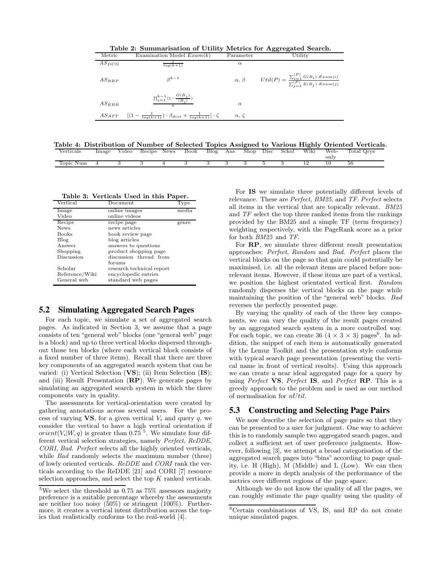Table 2: Summarisation of Utility Metrics for Aggregated Search.

| Metric     | Examination Model $Exam(k)$                                                         | Parameter         | Utility                                                                                         |
|------------|-------------------------------------------------------------------------------------|-------------------|-------------------------------------------------------------------------------------------------|
| $AS_{DCG}$ | $log(k+1)$                                                                          | $\alpha$          |                                                                                                 |
| $AS_{RBP}$ | $\beta^{k-1}$                                                                       | $\alpha, \ \beta$ | $Util(P) = \frac{\sum_{i=1}^{ P } G(B_i) \cdot Exam(i)}{\sum_{j=1}^{ P } E(B_j) \cdot Exam(j)}$ |
| $AS_{ERR}$ | $\prod_{j=1}^{k-1} (1 - \frac{G(B_j)}{ B_j })$                                      | $\alpha$          |                                                                                                 |
|            | $AS_{ATT}$ $[(1-\frac{1}{log(k+1)})\cdot\beta_{dist}+\frac{1}{log(k+1)}]\cdot\zeta$ | $\alpha, \zeta$   |                                                                                                 |

Table 4: Distribution of Number of Selected Topics Assigned to Various Highly Oriented Verticals.<br>Verticals Image Video Becipe News Book Blog Ans Shop Disc Schol Wiki Web. Total Orys Total Qrys

| $\it Verticals$ | lmage | Video | Recipe News | Book | Blog | Ans | Shop | Disc | Schol | Wiki | Web-<br>only | Total Orys |
|-----------------|-------|-------|-------------|------|------|-----|------|------|-------|------|--------------|------------|
| Topic Num       |       |       |             |      |      |     |      |      |       |      |              | 56         |
|                 |       |       |             |      |      |     |      |      |       |      |              |            |

Table 3: Verticals Used in this Paper.

| Vertical       | Document                  | Type               |
|----------------|---------------------------|--------------------|
| Image          | online images             | $medi\overline{a}$ |
| Video          | online videos             |                    |
| Recipe         | recipe page               | genre              |
| <b>News</b>    | news articles             |                    |
| <b>Books</b>   | book review page          |                    |
| Blog           | blog articles             |                    |
| Answer         | answers to questions      |                    |
| Shopping       | product shopping page     |                    |
| Discussion     | discussion thread from    |                    |
|                | forums                    |                    |
| Scholar        | research technical report |                    |
| Reference/Wiki | encyclopedic entries      |                    |
| General web    | standard web pages        |                    |

### 5.2 Simulating Aggregated Search Pages

For each topic, we simulate a set of aggregated search pages. As indicated in Section 3, we assume that a page consists of ten "general web" blocks (one "general web" page is a block) and up to three vertical blocks dispersed throughout those ten blocks (where each vertical block consists of a fixed number of three items). Recall that there are three key components of an aggregated search system that can be varied: (i) Vertical Selection (VS); (ii) Item Selection (IS); and (iii) Result Presentation  $(RP)$ . We generate pages by simulating an aggregated search system in which the three components vary in quality.

The assessments for vertical-orientation were created by gathering annotations across several users. For the process of varying  $VS$ , for a given vertical  $V_i$  and query q, we consider the vertical to have a high vertical orientation if  $orient(V_i|W, q)$  is greater than 0.75<sup>5</sup>. We simulate four different vertical selection strategies, namely Perfect, ReDDE, CORI, Bad. Perfect selects all the highly oriented verticals, while *Bad* randomly selects the maximum number (three) of lowly oriented verticals. ReDDE and CORI rank the verticals according to the ReDDE [21] and CORI [7] resource selection approaches, and select the top K ranked verticals.

For IS we simulate three potentially different levels of relevance. These are Perfect, BM25, and TF. Perfect selects all items in the vertical that are topically relevant. BM25 and TF select the top three ranked items from the rankings provided by the BM25 and a simple TF (term frequency) weighting respectively, with the PageRank score as a prior for both BM25 and TF.

For RP, we simulate three different result presentation approaches: Perfect, Random and Bad. Perfect places the vertical blocks on the page so that gain could potentially be maximised, i.e. all the relevant items are placed before nonrelevant items. However, if these items are part of a vertical, we position the highest orientated vertical first. Random randomly disperses the vertical blocks on the page while maintaining the position of the "general web" blocks. Bad reverses the perfectly presented page.

By varying the quality of each of the three key components, we can vary the quality of the result pages created by an aggregated search system in a more controlled way. For each topic, we can create 36  $(4 \times 3 \times 3)$  pages<sup>6</sup>. In addition, the snippet of each item is automatically generated by the Lemur Toolkit and the presentation style conforms with typical search page presentation (presenting the vertical name in front of vertical results). Using this approach we can create a near ideal aggregated page for a query by using Perfect VS, Perfect IS, and Perfect RP. This is a greedy approach to the problem and is used as our method of normalisation for  $nUtil$ .

# 5.3 Constructing and Selecting Page Pairs

We now describe the selection of page pairs so that they can be presented to a user for judgment. One way to achieve this is to randomly sample two aggregated search pages, and collect a sufficient set of user preference judgments. However, following [3], we attempt a broad categorisation of the aggregated search pages into "bins" according to page quality, i.e. H (High), M (Middle) and L (Low). We can then provide a more in depth analysis of the performance of the metrics over different regions of the page space.

Although we do not know the quality of all the pages, we can roughly estimate the page quality using the quality of

 $^{5}\mathrm{We}$  select the threshold as 0.75 as 75% assessors majority preference is a suitable percentage whereby the assessments are neither too noisy (50%) or stringent (100%). Furthermore, it creates a vertical intent distribution across the topics that realistically conforms to the real-world [4].

<sup>6</sup>Certain combinations of VS, IS, and RP do not create unique simulated pages.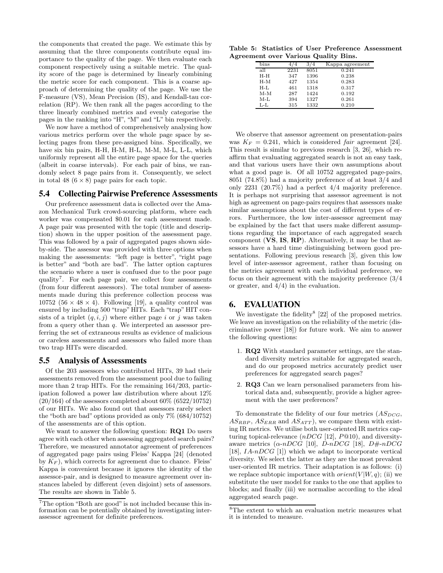the components that created the page. We estimate this by assuming that the three components contribute equal importance to the quality of the page. We then evaluate each component respectively using a suitable metric. The quality score of the page is determined by linearly combining the metric score for each component. This is a coarse approach of determining the quality of the page. We use the F-measure (VS), Mean Precision (IS), and Kendall-tau correlation (RP). We then rank all the pages according to the three linearly combined metrics and evenly categorise the pages in the ranking into "H", "M" and "L" bin respectively.

We now have a method of comprehensively analysing how various metrics perform over the whole page space by selecting pages from these pre-assigned bins. Specifically, we have six bin pairs, H-H, H-M, H-L, M-M, M-L, L-L, which uniformly represent all the entire page space for the queries (albeit in coarse intervals). For each pair of bins, we randomly select 8 page pairs from it. Consequently, we select in total 48  $(6 \times 8)$  page pairs for each topic.

# 5.4 Collecting Pairwise Preference Assessments

Our preference assessment data is collected over the Amazon Mechanical Turk crowd-sourcing platform, where each worker was compensated \$0.01 for each assessment made. A page pair was presented with the topic (title and description) shown in the upper position of the assessment page. This was followed by a pair of aggregated pages shown sideby-side. The assessor was provided with three options when making the assessments: "left page is better", "right page is better" and "both are bad". The latter option captures the scenario where a user is confused due to the poor page quality<sup>7</sup>. For each page pair, we collect four assessments (from four different assessors). The total number of assessments made during this preference collection process was 10752 (56  $\times$  48  $\times$  4). Following [19], a quality control was ensured by including 500 "trap" HITs. Each "trap" HIT consists of a triplet  $(q, i, j)$  where either page i or j was taken from a query other than q. We interpreted an assessor preferring the set of extraneous results as evidence of malicious or careless assessments and assessors who failed more than two trap HITs were discarded.

## 5.5 Analysis of Assessments

Of the 203 assessors who contributed HITs, 39 had their assessments removed from the assessment pool due to failing more than 2 trap HITs. For the remaining 164/203, participation followed a power law distribution where about 12%  $(20/164)$  of the assessors completed about  $60\%$   $(6522/10752)$ of our HITs. We also found out that assessors rarely select the "both are bad" options provided as only 7% (684/10752) of the assessments are of this option.

We want to answer the following question: **RQ1** Do users agree with each other when assessing aggregated search pairs? Therefore, we measured annotator agreement of preferences of aggregated page pairs using Fleiss' Kappa [24] (denoted by  $K_F$ ), which corrects for agreement due to chance. Fleiss' Kappa is convenient because it ignores the identity of the assessor-pair, and is designed to measure agreement over instances labeled by different (even disjoint) sets of assessors. The results are shown in Table 5.

Table 5: Statistics of User Preference Assessment Agreement over Various Quality Bins.

|        |      |      | $\cdot$         |
|--------|------|------|-----------------|
| bins   |      |      | Kappa agreement |
| all    | 2231 | 8051 | 0.241           |
| H-H    | 347  | 1396 | 0.238           |
| $H-M$  | 427  | 1354 | 0.283           |
| $H-I.$ | 461  | 1318 | 0.317           |
| $M-M$  | 287  | 1424 | 0.192           |
| $M-I$  | 394  | 1327 | 0.261           |
| L-L    | 315  | 1332 | 0.210           |
|        |      |      |                 |

We observe that assessor agreement on presentation-pairs was  $K_F = 0.241$ , which is considered *fair* agreement [24]. This result is similar to previous research [3, 26], which reaffirm that evaluating aggregated search is not an easy task, and that various users have their own assumptions about what a good page is. Of all 10752 aggregated page-pairs, 8051 (74.8%) had a majority preference of at least 3/4 and only 2231 (20.7%) had a perfect 4/4 majority preference. It is perhaps not surprising that assessor agreement is not high as agreement on page-pairs requires that assessors make similar assumptions about the cost of different types of errors. Furthermore, the low inter-assessor agreement may be explained by the fact that users make different assumptions regarding the importance of each aggregated search component (VS, IS, RP). Alternatively, it may be that assessors have a hard time distinguishing between good presentations. Following previous research [3], given this low level of inter-assessor agreement, rather than focusing on the metrics agreement with each individual preference, we focus on their agreement with the majority preference (3/4 or greater, and 4/4) in the evaluation.

# 6. EVALUATION

We investigate the fidelity<sup>8</sup>  $[22]$  of the proposed metrics. We leave an investigation on the reliability of the metric (discriminative power [18]) for future work. We aim to answer the following questions:

- 1. RQ2 With standard parameter settings, are the standard diversity metrics suitable for aggregated search, and do our proposed metrics accurately predict user preferences for aggregated search pages?
- 2. RQ3 Can we learn personalised parameters from historical data and, subsequently, provide a higher agreement with the user preferences?

To demonstrate the fidelity of our four metrics  $(AS_{DCG},$  $AS_{RBP}$ ,  $AS_{ERR}$  and  $AS_{ATT}$ , we compare them with existing IR metrics. We utilise both user-oriented IR metrics capturing topical-relevance  $(nDCG$  [12],  $P@10$ ), and diversityaware metrics  $(\alpha \cdot nDCG$  [10],  $D \cdot nDCG$  [18],  $D \neq nDCG$ [18],  $IA-nDCG$  [1]) which we adapt to incorporate vertical diversity. We select the latter as they are the most prevalent user-oriented IR metrics. Their adaptation is as follows: (i) we replace subtopic importance with  $orient(V|W, q)$ ; (ii) we substitute the user model for ranks to the one that applies to blocks; and finally (iii) we normalise according to the ideal aggregated search page.

<sup>7</sup>The option "Both are good" is not included because this information can be potentially obtained by investigating interassessor agreement for definite preferences.

<sup>8</sup>The extent to which an evaluation metric measures what it is intended to measure.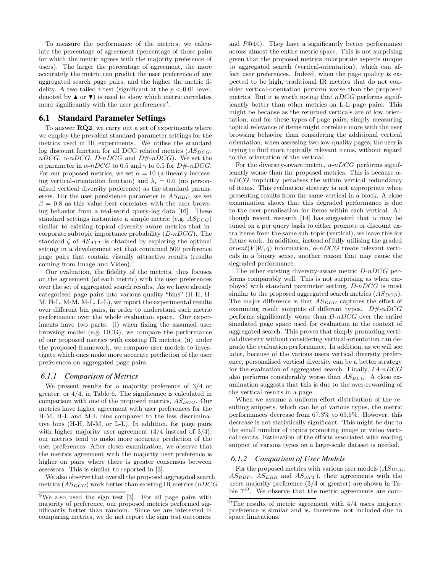To measure the performance of the metrics, we calculate the percentage of agreement (percentage of those pairs for which the metric agrees with the majority preference of users). The larger the percentage of agreement, the more accurately the metric can predict the user preference of any aggregated search page pairs, and the higher the metric fidelity. A two-tailed t-test (significant at the  $p < 0.01$  level, denoted by  $\blacktriangle$  or  $\nabla$ ) is used to show which metric correlates more significantly with the user preferences<sup>9</sup>.

### 6.1 Standard Parameter Settings

To answer RQ2, we carry out a set of experiments where we employ the prevalent standard parameter settings for the metrics used in IR experiments. We utilise the standard log discount function for all DCG related metrics  $(AS_{DCG},$  $nDCG$ ,  $\alpha$ -n $DCG$ ,  $D$ -n $DCG$  and  $D\#$ -n $DCG$ ). We set the α parameter in  $\alpha$ -nDCG to 0.5 and  $\gamma$  to 0.5 for D#-nDCG. For our proposed metrics, we set  $\alpha = 10$  (a linearly increasing vertical-orientation function) and  $\lambda_i = 0.0$  (no personalised vertical diversity preference) as the standard parameters. For the user persistence parameter in  $AS_{RBP}$ , we set  $\beta = 0.8$  as this value best correlates with the user browsing behavior from a real-world query-log data [16]. These standard settings instantiate a simple metric (e.g.  $AS_{DCG}$ ) similar to existing topical diversity-aware metrics that incorporate subtopic importance probability  $(D-nDCG)$ . The standard  $\zeta$  of  $AS_{ATT}$  is obtained by exploring the optimal setting in a development set that contained 500 preference page pairs that contain visually attractive results (results coming from Image and Video).

Our evaluation, the fidelity of the metrics, thus focuses on the agreement (of each metric) with the user preferences over the set of aggregated search results. As we have already categorised page pairs into various quality "bins" (H-H, H-M, H-L, M-M, M-L, L-L), we report the experimental results over different bin pairs, in order to understand each metric performance over the whole evaluation space. Our experiments have two parts: (i) when fixing the assumed user browsing model (e.g. DCG), we compare the performance of our proposed metrics with existing IR metrics; (ii) under the proposed framework, we compare user models to investigate which ones make more accurate prediction of the user preferences on aggregated page pairs.

### *6.1.1 Comparison of Metrics*

We present results for a majority preference of 3/4 or greater, or 4/4, in Table 6. The significance is calculated in comparison with one of the proposed metrics,  $AS_{DCG}$ . Our metrics have higher agreement with user preferences for the H-M, H-L and M-L bins compared to the less discriminative bins (H-H, M-M, or L-L). In addition, for page pairs with higher majority user agreement  $(4/4$  instead of  $3/4$ ), our metrics tend to make more accurate prediction of the user preferences. After closer examination, we observe that the metrics agreement with the majority user preference is higher on pairs where there is greater consensus between assessors. This is similar to reported in [3].

We also observe that overall the proposed aggregated search metrics  $(AS_{DCG})$  work better than existing IR metrics  $(nDCG)$  and  $P@10$ . They have a significantly better performance across almost the entire metric space. This is not surprising given that the proposed metrics incorporate aspects unique to aggregated search (vertical-orientation), which can affect user preferences. Indeed, when the page quality is expected to be high, traditional IR metrics that do not consider vertical-orientation perform worse than the proposed metrics. But it is worth noting that  $nDCG$  performs significantly better than other metrics on L-L page pairs. This might be because as the returned verticals are of low orientation, and for these types of page pairs, simply measuring topical relevance of items might correlate more with the user browsing behavior than considering the additional vertical orientation; when assessing two low-quality pages, the user is trying to find more topically relevant items, without regard to the orientation of the vertical.

For the diversity-aware metric,  $\alpha$ -nDCG performs significantly worse than the proposed metrics. This is because  $\alpha$  $nDCG$  implicitly penalises the within vertical redundancy of items. This evaluation strategy is not appropriate when presenting results from the same vertical in a block. A close examination shows that this degraded performance is due to the over-penalisation for items within each vertical. Although recent research [14] has suggested that  $\alpha$  may be tuned on a per query basis to either promote or discount extra items from the same sub-topic (vertical), we leave this for future work. In addition, instead of fully utilising the graded orient(V|W, q) information,  $\alpha$ -nDCG treats relevant verticals in a binary sense, another reason that may cause the degraded performance.

The other existing diversity-aware metric  $D\neg DCG$  performs comparably well. This is not surprising as when employed with standard parameter setting,  $D-nDCG$  is most similar to the proposed aggregated search metrics  $(AS_{DCG})$ . The major difference is that  $AS_{DCG}$  captures the effort of examining result snippets of different types.  $D\# -nDCG$ performs significantly worse than  $D\neg DCG$  over the entire simulated page space used for evaluation in the context of aggregated search. This proves that simply promoting vertical diversity without considering vertical-orientation can degrade the evaluation performance. In addition, as we will see later, because of the various users vertical diversity preference, personalised vertical diversity can be a better strategy for the evaluation of aggregated search. Finally,  $IA-nDCG$ also performs considerably worse than  $AS_{DCG}$ . A close examination suggests that this is due to the over-rewarding of the vertical results in a page.

When we assume a uniform effort distribution of the resulting snippets, which can be of various types, the metric performances decrease from 67.3% to 65.6%. However, this decrease is not statistically significant. This might be due to the small number of topics promoting image or video vertical results. Estimation of the efforts associated with reading snippet of various types on a large-scale dataset is needed.

### *6.1.2 Comparison of User Models*

For the proposed metrics with various user models  $(AS_{DCG},$  $AS_{RBP}$ ,  $AS_{ERR}$  and  $AS_{ATT}$ , their agreements with the users majority preference (3/4 or greater) are shown in Table  $7^{10}$ . We observe that the metric agreements are com-

<sup>9</sup>We also used the sign test [3]. For all page pairs with majority of preference, our proposed metrics performed significantly better than random. Since we are interested in comparing metrics, we do not report the sign test outcomes.

 $10$ The results of metric agreement with  $4/4$  users majority preference is similar and is, therefore, not included due to space limitations.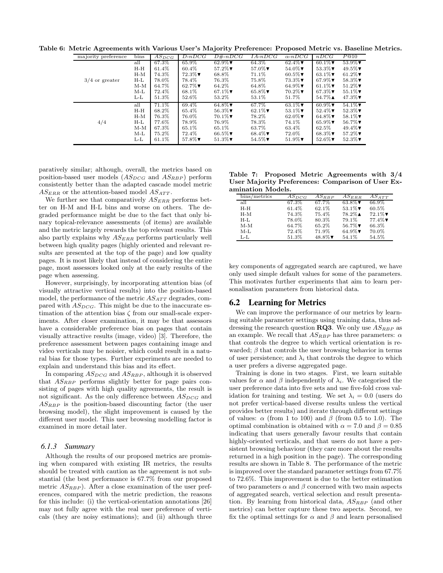Table 6: Metric Agreements with Various User's Majority Preference: Proposed Metric vs. Baseline Metrics.

| majority preference | bins  | $AS_{DCG}$ | $D-nDCG$                   | $D#$ - $nDCG$              | $IA-nDCG$                  | $\alpha$ -nDCG             | nDCG                       | P@10                          |
|---------------------|-------|------------|----------------------------|----------------------------|----------------------------|----------------------------|----------------------------|-------------------------------|
|                     | all   | 67.3%      | 65.9%                      | 62.9% $\blacktriangledown$ | 64.3%                      | 62.4% $\nabla$             | $60.1\%$                   | $53.9\%$ $\blacktriangledown$ |
|                     | $H-H$ | 61.4%      | 60.4%                      | $57.2\%$                   | $57.0\%$                   | $54.0\%$                   | $53.3\%$                   | $49.5\%$                      |
|                     | $H-M$ | 74.3%      | $72.3\%$                   | 68.8%                      | 71.1%                      | 60.5% $\nabla$             | 63.1% $\nabla$             | 61.2% $\nabla$                |
| $3/4$ or greater    | H-L   | 78.0%      | 78.4%                      | 76.3%                      | 75.8%                      | $73.3\%$                   | 67.9% $\nabla$             | $58.3\%$                      |
|                     | $M-M$ | 64.7%      | 62.7% $\blacktriangledown$ | 64.2%                      | 64.8%                      | 64.9% $\blacktriangledown$ | 61.1% $\nabla$             | $51.2\%$                      |
|                     | $M-L$ | 72.4%      | 68.1%                      | 67.1% $\blacktriangledown$ | 65.8% $\blacktriangledown$ | $70.2\%$                   | 67.3% $\nabla$             | $55.1\%$                      |
|                     | L-L   | 51.3%      | 52.6%                      | 53.2%                      | 53.1\%                     | 51.7%                      | $54.7\%$ $\triangle$       | $47.3\%$                      |
|                     | all   | 71.1%      | 69.4%                      | $64.8\%$                   | 67.7%                      | 63.1% $\nabla$             | $60.9\%$                   | $54.1\%$                      |
|                     | $H-H$ | 68.2%      | 65.4%                      | $56.3\%$                   | 62.1% $\blacktriangledown$ | 53.1% $\triangledown$      | $52.4\%$                   | $52.3\%$                      |
|                     | $H-M$ | 76.3%      | 76.0%                      | $70.1\%$                   | 78.2%                      | 62.0% $\blacktriangledown$ | 64.8% $\nabla$             | $58.1\%$                      |
| 4/4                 | H-L   | 77.6%      | 78.9%                      | 76.9%                      | 78.3%                      | 74.1%                      | 65.9% $\blacktriangledown$ | 56.7% $\Psi$                  |
|                     | $M-M$ | 67.3%      | 65.1%                      | 65.1%                      | 63.7%                      | 63.4%                      | 62.5%                      | 49.4% $\nabla$                |
|                     | $M-L$ | 75.2%      | 72.4%                      | 66.5% $\Psi$               | 68.4% $\nabla$             | 72.0%                      | 68.3% $\nabla$             | $57.2\%$                      |
|                     | L-L   | 61.1%      | $57.8\%$                   | $51.3\%$                   | $54.5\%$                   | $51.9\%$                   | $52.6\%$                   | $52.3\%$                      |

paratively similar; although, overall, the metrics based on position-based user models  $(AS_{DCG}$  and  $AS_{RBP}$ ) perform consistently better than the adapted cascade model metric  $AS_{ERR}$  or the attention-based model  $AS_{ATT}$ .

We further see that comparatively  $AS_{ERR}$  performs better on H-M and H-L bins and worse on others. The degraded performance might be due to the fact that only binary topical-relevance assessments (of items) are available and the metric largely rewards the top relevant results. This also partly explains why  $AS_{ERR}$  performs particularly well between high quality pages (highly oriented and relevant results are presented at the top of the page) and low quality pages. It is most likely that instead of considering the entire page, most assessors looked only at the early results of the page when assessing.

However, surprisingly, by incorporating attention bias (of visually attractive vertical results) into the position-based model, the performance of the metric  $AS_{ATT}$  degrades, compared with  $AS_{DCG}$ . This might be due to the inaccurate estimation of the attention bias  $\zeta$  from our small-scale experiments. After closer examination, it may be that assessors have a considerable preference bias on pages that contain visually attractive results (image, video) [3]. Therefore, the preference assessment between pages containing image and video verticals may be noisier, which could result in a natural bias for those types. Further experiments are needed to explain and understand this bias and its effect.

In comparing  $AS_{DCG}$  and  $AS_{RBP}$ , although it is observed that  $AS_{RBP}$  performs slightly better for page pairs consisting of pages with high quality agreements, the result is not significant. As the only difference between  $AS_{DCG}$  and  $AS_{RBP}$  is the position-based discounting factor (the user browsing model), the slight improvement is caused by the different user model. This user browsing modelling factor is examined in more detail later.

### *6.1.3 Summary*

Although the results of our proposed metrics are promising when compared with existing IR metrics, the results should be treated with caution as the agreement is not substantial (the best performance is 67.7% from our proposed metric  $AS_{RBP}$ ). After a close examination of the user preferences, compared with the metric prediction, the reasons for this include: (i) the vertical-orientation annotations [26] may not fully agree with the real user preference of verticals (they are noisy estimations); and (ii) although three

Table 7: Proposed Metric Agreements with 3/4 User Majority Preferences: Comparison of User Examination Models.

| bins/metrics | $AS_{DCG}$ | $AS_{BBP}$ | $AS_{ERR}$           | $AS_{ATT}$ |
|--------------|------------|------------|----------------------|------------|
| all          | 67.3%      | 67.7%      | $63.8\%$             | 66.9%      |
| H-H          | 61.4%      | 62.1%      | $53.1\%$             | 60.5%      |
| H-M          | 74.3%      | 75.4%      | $78.2\%$ $\triangle$ | $72.1\%$   |
| $H-I.$       | 78.0%      | 80.3%      | 79.1%                | $77.4\%$   |
| $M-M$        | 64.7%      | 65.2%      | 56.7% $\Psi$         | 66.3%      |
| $M-I$        | 72.4%      | 71.9%      | 64.9% $\nabla$       | 70.0%      |
| $L-L$        | 51.3%      | $48.8\%$   | 54.1%                | 54.5%      |

key components of aggregated search are captured, we have only used simple default values for some of the parameters. This motivates further experiments that aim to learn personalisation parameters from historical data.

# 6.2 Learning for Metrics

We can improve the performance of our metrics by learning suitable parameter settings using training data, thus addressing the research question **RQ3**. We only use  $AS_{RBP}$  as an example. We recall that  $AS_{RBP}$  has three parameters:  $\alpha$ that controls the degree to which vertical orientation is rewarded;  $\beta$  that controls the user browsing behavior in terms of user persistence; and  $\lambda_i$  that controls the degree to which a user prefers a diverse aggregated page.

Training is done in two stages. First, we learn suitable values for  $\alpha$  and  $\beta$  independently of  $\lambda_i$ . We categorised the user preference data into five sets and use five-fold cross validation for training and testing. We set  $\lambda_i = 0.0$  (users do not prefer vertical-based diverse results unless the vertical provides better results) and iterate through different settings of values:  $\alpha$  (from 1 to 100) and  $\beta$  (from 0.5 to 1.0). The optimal combination is obtained with  $\alpha = 7.0$  and  $\beta = 0.85$ indicating that users generally favour results that contain highly-oriented verticals, and that users do not have a persistent browsing behaviour (they care more about the results returned in a high position in the page). The corresponding results are shown in Table 8. The performance of the metric is improved over the standard parameter settings from 67.7% to 72.6%. This improvement is due to the better estimation of two parameters  $\alpha$  and  $\beta$  concerned with two main aspects of aggregated search, vertical selection and result presentation. By learning from historical data,  $AS_{RBP}$  (and other metrics) can better capture these two aspects. Second, we fix the optimal settings for  $\alpha$  and  $\beta$  and learn personalised